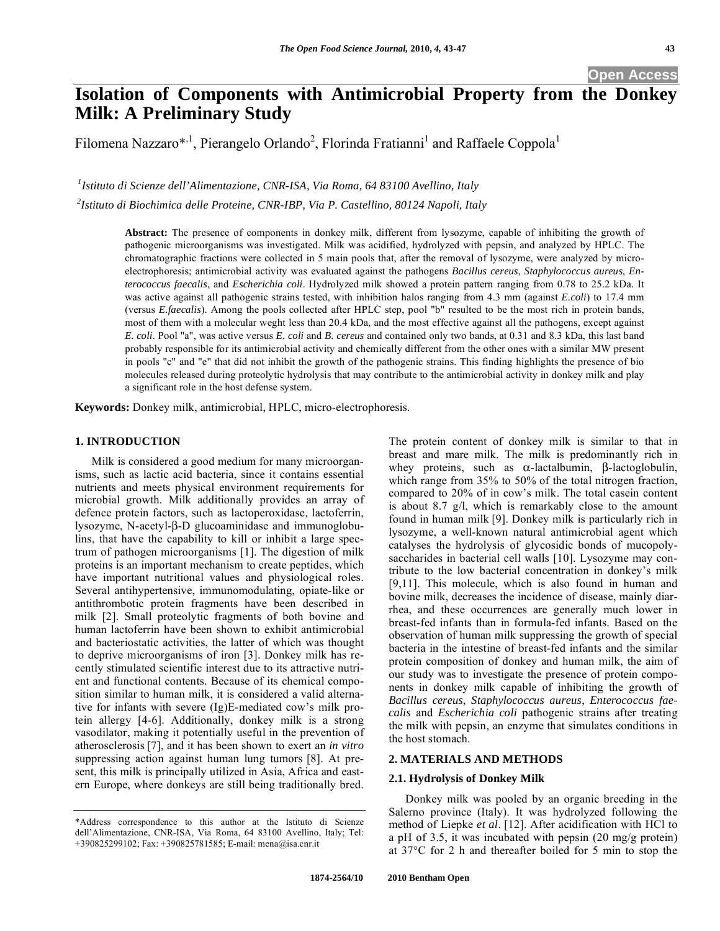# **Isolation of Components with Antimicrobial Property from the Donkey Milk: A Preliminary Study**

Filomena Nazzaro\*,<sup>1</sup>, Pierangelo Orlando<sup>2</sup>, Florinda Fratianni<sup>1</sup> and Raffaele Coppola<sup>1</sup>

*1 Istituto di Scienze dell'Alimentazione, CNR-ISA, Via Roma, 64 83100 Avellino, Italy*

*2 Istituto di Biochimica delle Proteine, CNR-IBP, Via P. Castellino, 80124 Napoli, Italy* 

**Abstract:** The presence of components in donkey milk, different from lysozyme, capable of inhibiting the growth of pathogenic microorganisms was investigated. Milk was acidified, hydrolyzed with pepsin, and analyzed by HPLC. The chromatographic fractions were collected in 5 main pools that, after the removal of lysozyme, were analyzed by microelectrophoresis; antimicrobial activity was evaluated against the pathogens *Bacillus cereus*, *Staphylococcus aureus*, *Enterococcus faecalis*, and *Escherichia coli*. Hydrolyzed milk showed a protein pattern ranging from 0.78 to 25.2 kDa. It was active against all pathogenic strains tested, with inhibition halos ranging from 4.3 mm (against *E.coli*) to 17.4 mm (versus *E.faecalis*). Among the pools collected after HPLC step, pool "b" resulted to be the most rich in protein bands, most of them with a molecular weght less than 20.4 kDa, and the most effective against all the pathogens, except against *E. coli*. Pool "a", was active versus *E. coli* and *B. cereus* and contained only two bands, at 0.31 and 8.3 kDa, this last band probably responsible for its antimicrobial activity and chemically different from the other ones with a similar MW present in pools "c" and "e" that did not inhibit the growth of the pathogenic strains. This finding highlights the presence of bio molecules released during proteolytic hydrolysis that may contribute to the antimicrobial activity in donkey milk and play a significant role in the host defense system.

**Keywords:** Donkey milk, antimicrobial, HPLC, micro-electrophoresis.

### **1. INTRODUCTION**

Milk is considered a good medium for many microorganisms, such as lactic acid bacteria, since it contains essential nutrients and meets physical environment requirements for microbial growth. Milk additionally provides an array of defence protein factors, such as lactoperoxidase, lactoferrin, lysozyme, N-acetyl-β-D glucoaminidase and immunoglobulins, that have the capability to kill or inhibit a large spectrum of pathogen microorganisms [1]. The digestion of milk proteins is an important mechanism to create peptides, which have important nutritional values and physiological roles. Several antihypertensive, immunomodulating, opiate-like or antithrombotic protein fragments have been described in milk [2]. Small proteolytic fragments of both bovine and human lactoferrin have been shown to exhibit antimicrobial and bacteriostatic activities, the latter of which was thought to deprive microorganisms of iron [3]. Donkey milk has recently stimulated scientific interest due to its attractive nutrient and functional contents. Because of its chemical composition similar to human milk, it is considered a valid alternative for infants with severe (Ig)E-mediated cow's milk protein allergy [4-6]. Additionally, donkey milk is a strong vasodilator, making it potentially useful in the prevention of atherosclerosis [7], and it has been shown to exert an *in vitro* suppressing action against human lung tumors [8]. At present, this milk is principally utilized in Asia, Africa and eastern Europe, where donkeys are still being traditionally bred.

The protein content of donkey milk is similar to that in breast and mare milk. The milk is predominantly rich in whey proteins, such as  $\alpha$ -lactalbumin,  $\beta$ -lactoglobulin, which range from 35% to 50% of the total nitrogen fraction, compared to 20% of in cow's milk. The total casein content is about 8.7 g/l, which is remarkably close to the amount found in human milk [9]. Donkey milk is particularly rich in lysozyme, a well-known natural antimicrobial agent which catalyses the hydrolysis of glycosidic bonds of mucopolysaccharides in bacterial cell walls [10]. Lysozyme may contribute to the low bacterial concentration in donkey's milk [9,11]. This molecule, which is also found in human and bovine milk, decreases the incidence of disease, mainly diarrhea, and these occurrences are generally much lower in breast-fed infants than in formula-fed infants. Based on the observation of human milk suppressing the growth of special bacteria in the intestine of breast-fed infants and the similar protein composition of donkey and human milk, the aim of our study was to investigate the presence of protein components in donkey milk capable of inhibiting the growth of *Bacillus cereus*, *Staphylococcus aureus*, *Enterococcus faecalis* and *Escherichia coli* pathogenic strains after treating the milk with pepsin, an enzyme that simulates conditions in the host stomach.

## **2. MATERIALS AND METHODS**

### **2.1. Hydrolysis of Donkey Milk**

Donkey milk was pooled by an organic breeding in the Salerno province (Italy). It was hydrolyzed following the method of Liepke *et al*. [12]. After acidification with HCl to a pH of 3.5, it was incubated with pepsin (20 mg/g protein) at 37°C for 2 h and thereafter boiled for 5 min to stop the

<sup>\*</sup>Address correspondence to this author at the Istituto di Scienze dell'Alimentazione, CNR-ISA, Via Roma, 64 83100 Avellino, Italy; Tel: +390825299102; Fax: +390825781585; E-mail: mena@isa.cnr.it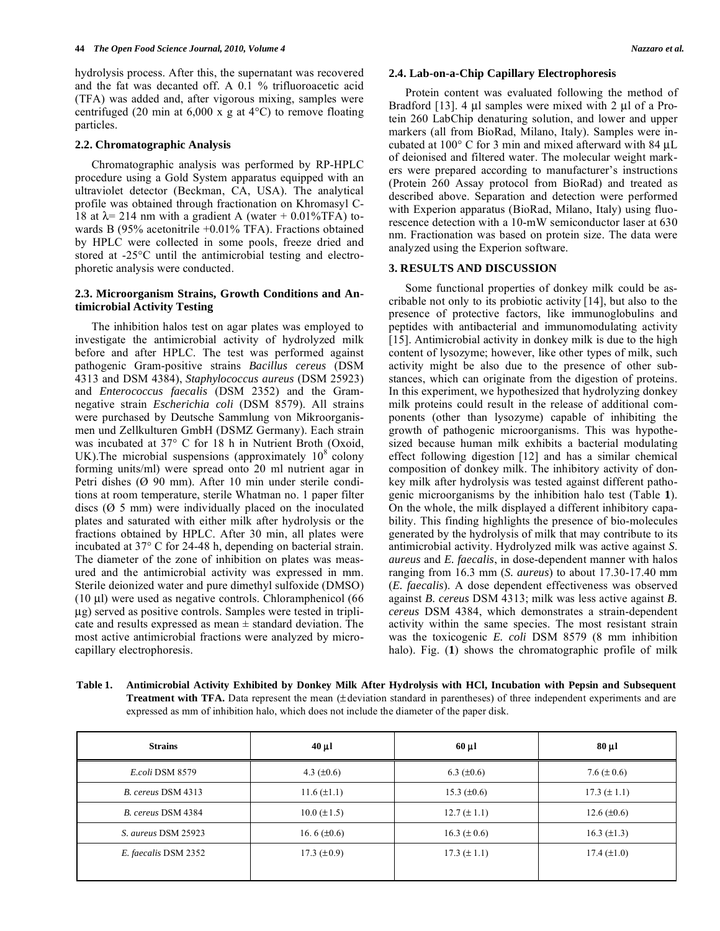hydrolysis process. After this, the supernatant was recovered and the fat was decanted off. A 0.1 % trifluoroacetic acid (TFA) was added and, after vigorous mixing, samples were centrifuged (20 min at  $6,000 \times g$  at  $4^{\circ}$ C) to remove floating particles.

#### **2.2. Chromatographic Analysis**

Chromatographic analysis was performed by RP-HPLC procedure using a Gold System apparatus equipped with an ultraviolet detector (Beckman, CA, USA). The analytical profile was obtained through fractionation on Khromasyl C-18 at  $\lambda$  = 214 nm with a gradient A (water + 0.01%TFA) towards B (95% acetonitrile +0.01% TFA). Fractions obtained by HPLC were collected in some pools, freeze dried and stored at -25°C until the antimicrobial testing and electrophoretic analysis were conducted.

#### **2.3. Microorganism Strains, Growth Conditions and Antimicrobial Activity Testing**

The inhibition halos test on agar plates was employed to investigate the antimicrobial activity of hydrolyzed milk before and after HPLC. The test was performed against pathogenic Gram-positive strains *Bacillus cereus* (DSM 4313 and DSM 4384), *Staphylococcus aureus* (DSM 25923) and *Enterococcus faecalis* (DSM 2352) and the Gramnegative strain *Escherichia coli* (DSM 8579). All strains were purchased by Deutsche Sammlung von Mikroorganismen und Zellkulturen GmbH (DSMZ Germany). Each strain was incubated at 37° C for 18 h in Nutrient Broth (Oxoid, UK). The microbial suspensions (approximately  $10^8$  colony forming units/ml) were spread onto 20 ml nutrient agar in Petri dishes (Ø 90 mm). After 10 min under sterile conditions at room temperature, sterile Whatman no. 1 paper filter discs (Ø 5 mm) were individually placed on the inoculated plates and saturated with either milk after hydrolysis or the fractions obtained by HPLC. After 30 min, all plates were incubated at 37° C for 24-48 h, depending on bacterial strain. The diameter of the zone of inhibition on plates was measured and the antimicrobial activity was expressed in mm. Sterile deionized water and pure dimethyl sulfoxide (DMSO) (10 μl) were used as negative controls. Chloramphenicol (66 μg) served as positive controls. Samples were tested in triplicate and results expressed as mean  $\pm$  standard deviation. The most active antimicrobial fractions were analyzed by microcapillary electrophoresis.

#### **2.4. Lab-on-a-Chip Capillary Electrophoresis**

Protein content was evaluated following the method of Bradford [13]. 4 μl samples were mixed with 2 μl of a Protein 260 LabChip denaturing solution, and lower and upper markers (all from BioRad, Milano, Italy). Samples were incubated at 100° C for 3 min and mixed afterward with 84 μL of deionised and filtered water. The molecular weight markers were prepared according to manufacturer's instructions (Protein 260 Assay protocol from BioRad) and treated as described above. Separation and detection were performed with Experion apparatus (BioRad, Milano, Italy) using fluorescence detection with a 10-mW semiconductor laser at 630 nm. Fractionation was based on protein size. The data were analyzed using the Experion software.

#### **3. RESULTS AND DISCUSSION**

Some functional properties of donkey milk could be ascribable not only to its probiotic activity [14], but also to the presence of protective factors, like immunoglobulins and peptides with antibacterial and immunomodulating activity [15]. Antimicrobial activity in donkey milk is due to the high content of lysozyme; however, like other types of milk, such activity might be also due to the presence of other substances, which can originate from the digestion of proteins. In this experiment, we hypothesized that hydrolyzing donkey milk proteins could result in the release of additional components (other than lysozyme) capable of inhibiting the growth of pathogenic microorganisms. This was hypothesized because human milk exhibits a bacterial modulating effect following digestion [12] and has a similar chemical composition of donkey milk. The inhibitory activity of donkey milk after hydrolysis was tested against different pathogenic microorganisms by the inhibition halo test (Table **1**). On the whole, the milk displayed a different inhibitory capability. This finding highlights the presence of bio-molecules generated by the hydrolysis of milk that may contribute to its antimicrobial activity. Hydrolyzed milk was active against *S*. *aureus* and *E. faecalis*, in dose-dependent manner with halos ranging from 16.3 mm (*S. aureus*) to about 17.30-17.40 mm (*E. faecalis*). A dose dependent effectiveness was observed against *B. cereus* DSM 4313; milk was less active against *B. cereus* DSM 4384, which demonstrates a strain-dependent activity within the same species. The most resistant strain was the toxicogenic *E. coli* DSM 8579 (8 mm inhibition halo). Fig. (1) shows the chromatographic profile of milk

| Table 1. | Antimicrobial Activity Exhibited by Donkey Milk After Hydrolysis with HCl, Incubation with Pepsin and Subsequent                       |
|----------|----------------------------------------------------------------------------------------------------------------------------------------|
|          | <b>Treatment with TFA.</b> Data represent the mean ( $\pm$ deviation standard in parentheses) of three independent experiments and are |
|          | expressed as mm of inhibition halo, which does not include the diameter of the paper disk.                                             |

| <b>Strains</b>       | $40 \mu l$       | $60 \mu l$       | $80 \mu l$         |
|----------------------|------------------|------------------|--------------------|
| E.coli DSM 8579      | 4.3 $(\pm 0.6)$  | 6.3 $(\pm 0.6)$  | 7.6 $(\pm 0.6)$    |
| B. cereus DSM 4313   | $11.6 (\pm 1.1)$ | 15.3 $(\pm 0.6)$ | $17.3 (\pm 1.1)$   |
| B. cereus DSM 4384   | $10.0 (\pm 1.5)$ | $12.7 (\pm 1.1)$ | $12.6 (\pm 0.6)$   |
| S. aureus DSM 25923  | 16.6 $(\pm 0.6)$ | $16.3 (\pm 0.6)$ | $16.3 \ (\pm 1.3)$ |
| E. faecalis DSM 2352 | 17.3 $(\pm 0.9)$ | $17.3 (\pm 1.1)$ | $17.4 \ (\pm 1.0)$ |
|                      |                  |                  |                    |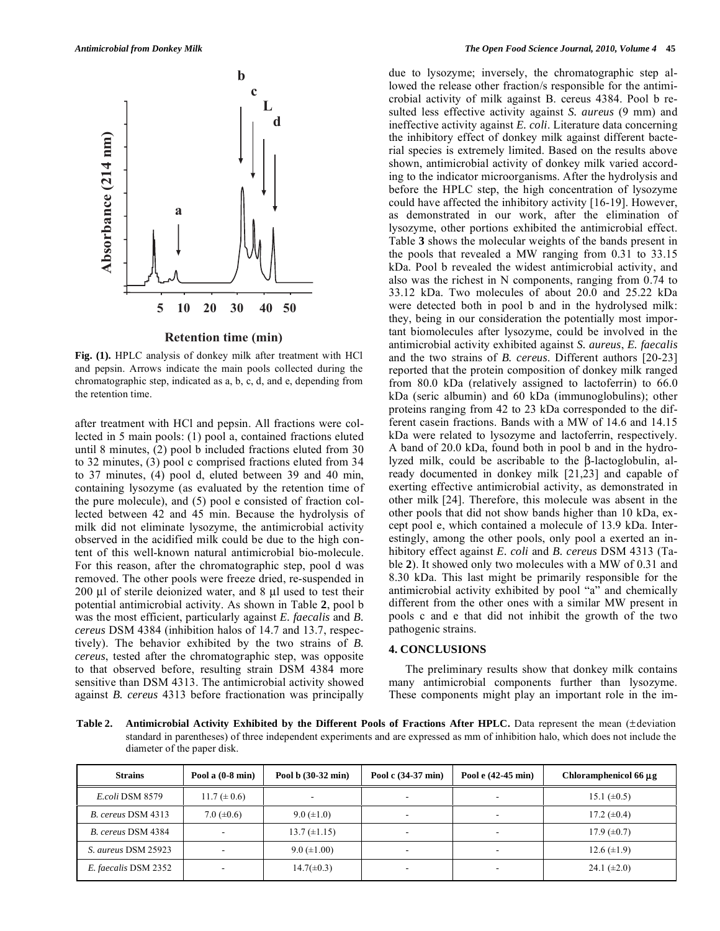

**Fig. (1).** HPLC analysis of donkey milk after treatment with HCl and pepsin. Arrows indicate the main pools collected during the chromatographic step, indicated as a, b, c, d, and e, depending from the retention time.

after treatment with HCl and pepsin. All fractions were collected in 5 main pools: (1) pool a, contained fractions eluted until 8 minutes, (2) pool b included fractions eluted from 30 to 32 minutes, (3) pool c comprised fractions eluted from 34 to 37 minutes, (4) pool d, eluted between 39 and 40 min, containing lysozyme (as evaluated by the retention time of the pure molecule), and (5) pool e consisted of fraction collected between 42 and 45 min. Because the hydrolysis of milk did not eliminate lysozyme, the antimicrobial activity observed in the acidified milk could be due to the high content of this well-known natural antimicrobial bio-molecule. For this reason, after the chromatographic step, pool d was removed. The other pools were freeze dried, re-suspended in 200 μl of sterile deionized water, and 8 μl used to test their potential antimicrobial activity. As shown in Table **2**, pool b was the most efficient, particularly against *E. faecalis* and *B. cereus* DSM 4384 (inhibition halos of 14.7 and 13.7, respectively). The behavior exhibited by the two strains of *B. cereus*, tested after the chromatographic step, was opposite to that observed before, resulting strain DSM 4384 more sensitive than DSM 4313. The antimicrobial activity showed against *B. cereus* 4313 before fractionation was principally due to lysozyme; inversely, the chromatographic step allowed the release other fraction/s responsible for the antimicrobial activity of milk against B. cereus 4384. Pool b resulted less effective activity against *S. aureus* (9 mm) and ineffective activity against *E. coli*. Literature data concerning the inhibitory effect of donkey milk against different bacterial species is extremely limited. Based on the results above shown, antimicrobial activity of donkey milk varied according to the indicator microorganisms. After the hydrolysis and before the HPLC step, the high concentration of lysozyme could have affected the inhibitory activity [16-19]. However, as demonstrated in our work, after the elimination of lysozyme, other portions exhibited the antimicrobial effect. Table **3** shows the molecular weights of the bands present in the pools that revealed a MW ranging from 0.31 to 33.15 kDa. Pool b revealed the widest antimicrobial activity, and also was the richest in N components, ranging from 0.74 to 33.12 kDa. Two molecules of about 20.0 and 25.22 kDa were detected both in pool b and in the hydrolysed milk: they, being in our consideration the potentially most important biomolecules after lysozyme, could be involved in the antimicrobial activity exhibited against *S. aureus*, *E. faecalis* and the two strains of *B. cereus*. Different authors [20-23] reported that the protein composition of donkey milk ranged from 80.0 kDa (relatively assigned to lactoferrin) to 66.0 kDa (seric albumin) and 60 kDa (immunoglobulins); other proteins ranging from 42 to 23 kDa corresponded to the different casein fractions. Bands with a MW of 14.6 and 14.15 kDa were related to lysozyme and lactoferrin, respectively. A band of 20.0 kDa, found both in pool b and in the hydrolyzed milk, could be ascribable to the  $\beta$ -lactoglobulin, already documented in donkey milk [21,23] and capable of exerting effective antimicrobial activity, as demonstrated in other milk [24]. Therefore, this molecule was absent in the other pools that did not show bands higher than 10 kDa, except pool e, which contained a molecule of 13.9 kDa. Interestingly, among the other pools, only pool a exerted an inhibitory effect against *E. coli* and *B. cereus* DSM 4313 (Table **2**). It showed only two molecules with a MW of 0.31 and 8.30 kDa. This last might be primarily responsible for the antimicrobial activity exhibited by pool "a" and chemically different from the other ones with a similar MW present in pools c and e that did not inhibit the growth of the two pathogenic strains.

#### **4. CONCLUSIONS**

The preliminary results show that donkey milk contains many antimicrobial components further than lysozyme. These components might play an important role in the im-

**Table 2. Antimicrobial Activity Exhibited by the Different Pools of Fractions After HPLC.** Data represent the mean (± deviation standard in parentheses) of three independent experiments and are expressed as mm of inhibition halo, which does not include the diameter of the paper disk.

| <b>Strains</b>       | Pool a (0-8 min)         | Pool b (30-32 min)       | Pool c (34-37 min)       | Pool e (42-45 min)       | Chloramphenicol 66 µg |
|----------------------|--------------------------|--------------------------|--------------------------|--------------------------|-----------------------|
| E.coli DSM 8579      | $11.7 (\pm 0.6)$         | $\overline{\phantom{a}}$ | $\overline{\phantom{a}}$ |                          | 15.1 $(\pm 0.5)$      |
| B. cereus DSM 4313   | 7.0 $(\pm 0.6)$          | $9.0 \ (\pm 1.0)$        | $\overline{\phantom{a}}$ | $\overline{\phantom{a}}$ | 17.2 $(\pm 0.4)$      |
| B. cereus DSM 4384   | $\overline{\phantom{0}}$ | $13.7 (\pm 1.15)$        | $\overline{\phantom{a}}$ |                          | $17.9 \ (\pm 0.7)$    |
| S. aureus DSM 25923  | $\overline{\phantom{a}}$ | $9.0 \ (\pm 1.00)$       | $\overline{\phantom{a}}$ | $\overline{\phantom{a}}$ | $12.6 \ (\pm 1.9)$    |
| E. faecalis DSM 2352 | $\overline{\phantom{a}}$ | $14.7(\pm 0.3)$          | $\overline{\phantom{a}}$ |                          | 24.1 $(\pm 2.0)$      |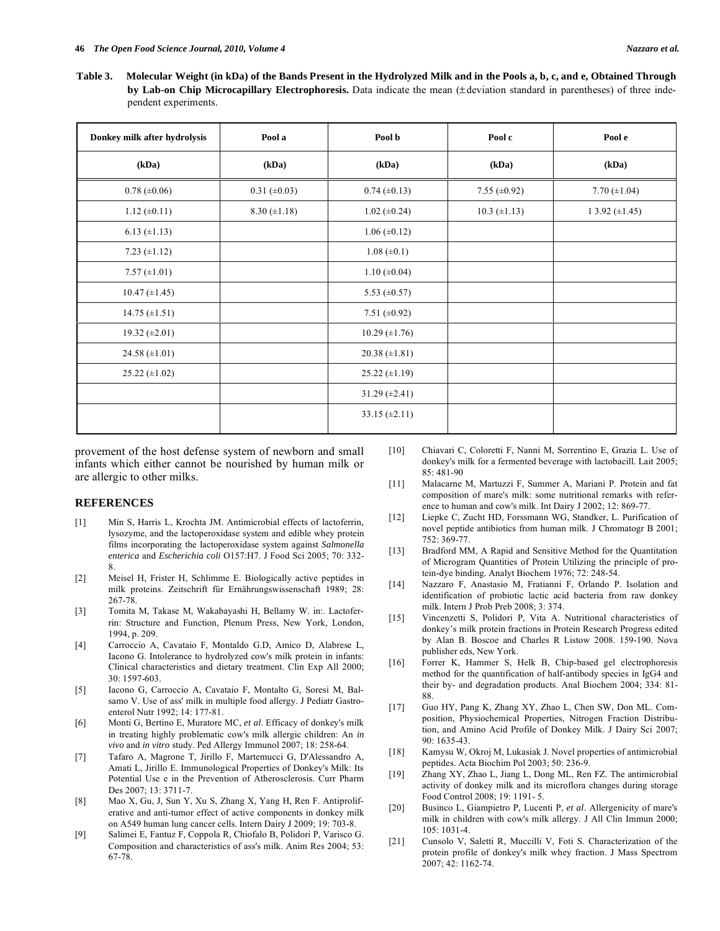**Table 3. Molecular Weight (in kDa) of the Bands Present in the Hydrolyzed Milk and in the Pools a, b, c, and e, Obtained Through by Lab-on Chip Microcapillary Electrophoresis.** Data indicate the mean (± deviation standard in parentheses) of three independent experiments.

| Donkey milk after hydrolysis | Pool a              | Pool b               | Pool c              | Pool e               |
|------------------------------|---------------------|----------------------|---------------------|----------------------|
| (kDa)                        | (kDa)               | (kDa)                | (kDa)               | (kDa)                |
| $0.78 (\pm 0.06)$            | $0.31 (\pm 0.03)$   | $0.74 (\pm 0.13)$    | 7.55 $(\pm 0.92)$   | 7.70 $(\pm 1.04)$    |
| $1.12 \ (\pm 0.11)$          | $8.30 \ (\pm 1.18)$ | $1.02 (\pm 0.24)$    | $10.3 \ (\pm 1.13)$ | $13.92 \ (\pm 1.45)$ |
| $6.13 (\pm 1.13)$            |                     | $1.06 (\pm 0.12)$    |                     |                      |
| 7.23 $(\pm 1.12)$            |                     | $1.08 (\pm 0.1)$     |                     |                      |
| $7.57 (\pm 1.01)$            |                     | $1.10 \ (\pm 0.04)$  |                     |                      |
| $10.47 \ (\pm 1.45)$         |                     | 5.53 $(\pm 0.57)$    |                     |                      |
| $14.75 \ (\pm 1.51)$         |                     | 7.51 ( $\pm 0.92$ )  |                     |                      |
| 19.32 $(\pm 2.01)$           |                     | $10.29 \ (\pm 1.76)$ |                     |                      |
| 24.58 $(\pm 1.01)$           |                     | $20.38 \ (\pm 1.81)$ |                     |                      |
| $25.22 \ (\pm 1.02)$         |                     | $25.22 \ (\pm 1.19)$ |                     |                      |
|                              |                     | 31.29 $(\pm 2.41)$   |                     |                      |
|                              |                     | 33.15 $(\pm 2.11)$   |                     |                      |

provement of the host defense system of newborn and small infants which either cannot be nourished by human milk or are allergic to other milks.

#### **REFERENCES**

- [1] Min S, Harris L, Krochta JM. Antimicrobial effects of lactoferrin, lysozyme, and the lactoperoxidase system and edible whey protein films incorporating the lactoperoxidase system against *Salmonella enterica* and *Escherichia coli* O157:H7. J Food Sci 2005; 70: 332- 8.
- [2] Meisel H, Frister H, Schlimme E. Biologically active peptides in milk proteins. Zeitschrift für Ernährungswissenschaft 1989; 28: 267-78.
- [3] Tomita M, Takase M, Wakabayashi H, Bellamy W. in:. Lactoferrin: Structure and Function, Plenum Press, New York, London, 1994, p. 209.
- [4] Carroccio A, Cavataio F, Montaldo G.D, Amico D, Alabrese L, Iacono G. Intolerance to hydrolyzed cow's milk protein in infants: Clinical characteristics and dietary treatment. Clin Exp All 2000; 30: 1597-603.
- [5] Iacono G, Carroccio A, Cavataio F, Montalto G, Soresi M, Balsamo V. Use of ass' milk in multiple food allergy. J Pediatr Gastroenterol Nutr 1992; 14: 177-81.
- [6] Monti G, Bertino E, Muratore MC, *et al*. Efficacy of donkey's milk in treating highly problematic cow's milk allergic children: An *in vivo* and *in vitro* study. Ped Allergy Immunol 2007; 18: 258-64.
- [7] Tafaro A, Magrone T, Jirillo F, Martemucci G, D'Alessandro A, Amati L, Jirillo E. Immunological Properties of Donkey's Milk: Its Potential Use e in the Prevention of Atherosclerosis. Curr Pharm Des 2007; 13: 3711-7.
- [8] Mao X, Gu, J, Sun Y, Xu S, Zhang X, Yang H, Ren F. Antiproliferative and anti-tumor effect of active components in donkey milk on A549 human lung cancer cells. Intern Dairy J 2009; 19: 703-8.
- [9] Salimei E, Fantuz F, Coppola R, Chiofalo B, Polidori P, Varisco G. Composition and characteristics of ass's milk. Anim Res 2004; 53: 67-78.
- [10] Chiavari C, Coloretti F, Nanni M, Sorrentino E, Grazia L. Use of donkey's milk for a fermented beverage with lactobacill. Lait 2005; 85: 481-90
- [11] Malacarne M, Martuzzi F, Summer A, Mariani P. Protein and fat composition of mare's milk: some nutritional remarks with reference to human and cow's milk. Int Dairy J 2002; 12: 869-77.
- [12] Liepke C, Zucht HD, Forssmann WG, Standker, L. Purification of novel peptide antibiotics from human milk. J Chromatogr B 2001; 752: 369-77.
- [13] Bradford MM, A Rapid and Sensitive Method for the Quantitation of Microgram Quantities of Protein Utilizing the principle of protein-dye binding. Analyt Biochem 1976; 72: 248-54.
- [14] Nazzaro F, Anastasio M, Fratianni F, Orlando P. Isolation and identification of probiotic lactic acid bacteria from raw donkey milk. Intern J Prob Preb 2008; 3: 374.
- [15] Vincenzetti S, Polidori P, Vita A. Nutritional characteristics of donkey's milk protein fractions in Protein Research Progress edited by Alan B. Boscoe and Charles R Listow 2008. 159-190. Nova publisher eds, New York.
- [16] Forrer K, Hammer S, Helk B, Chip-based gel electrophoresis method for the quantification of half-antibody species in IgG4 and their by- and degradation products. Anal Biochem 2004; 334: 81- 88.
- [17] Guo HY, Pang K, Zhang XY, Zhao L, Chen SW, Don ML. Composition, Physiochemical Properties, Nitrogen Fraction Distribution, and Amino Acid Profile of Donkey Milk. J Dairy Sci 2007; 90: 1635-43.
- [18] Kamysu W, Okroj M, Lukasiak J. Novel properties of antimicrobial peptides. Acta Biochim Pol 2003; 50: 236-9.
- [19] Zhang XY, Zhao L, Jiang L, Dong ML, Ren FZ. The antimicrobial activity of donkey milk and its microflora changes during storage Food Control 2008; 19: 1191- 5.
- [20] Businco L, Giampietro P, Lucenti P, *et al*. Allergenicity of mare's milk in children with cow's milk allergy. J All Clin Immun 2000; 105: 1031-4.
- [21] Cunsolo V, Saletti R, Muccilli V, Foti S. Characterization of the protein profile of donkey's milk whey fraction. J Mass Spectrom 2007; 42: 1162-74.